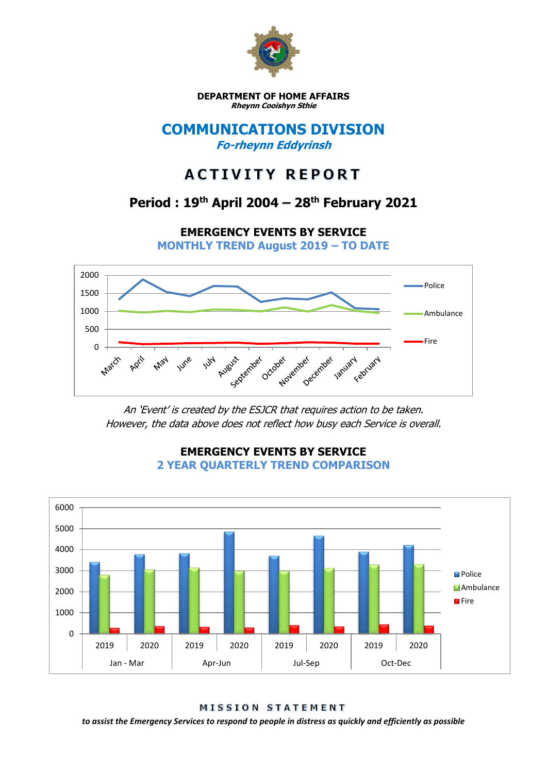

**DEPARTMENT OF HOME AFFAIRS Rheynn Cooishyn Sthie**

### **COMMUNICATIONS DIVISION Fo-rheynn Eddyrinsh**

# **ACTIVITY REPORT**

# **Period : 19th April 2004 – 28th February 2021**

**EMERGENCY EVENTS BY SERVICE**

**MONTHLY TREND August 2019 – TO DATE**



An 'Event' is created by the ESJCR that requires action to be taken. However, the data above does not reflect how busy each Service is overall.



### **EMERGENCY EVENTS BY SERVICE 2 YEAR QUARTERLY TREND COMPARISON**

MISSION STATEMENT

*to assist the Emergency Services to respond to people in distress as quickly and efficiently as possible*